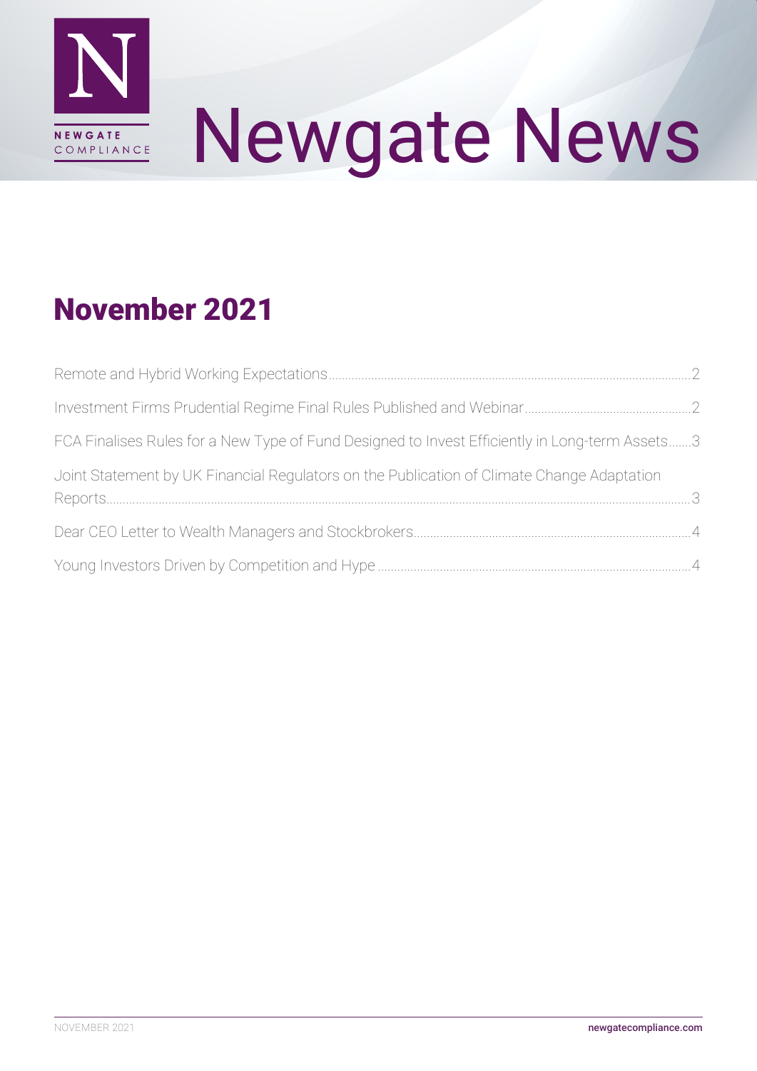

# Newgate News

## November 2021

| FCA Finalises Rules for a New Type of Fund Designed to Invest Efficiently in Long-term Assets3 |  |
|------------------------------------------------------------------------------------------------|--|
| Joint Statement by UK Financial Regulators on the Publication of Climate Change Adaptation     |  |
|                                                                                                |  |
|                                                                                                |  |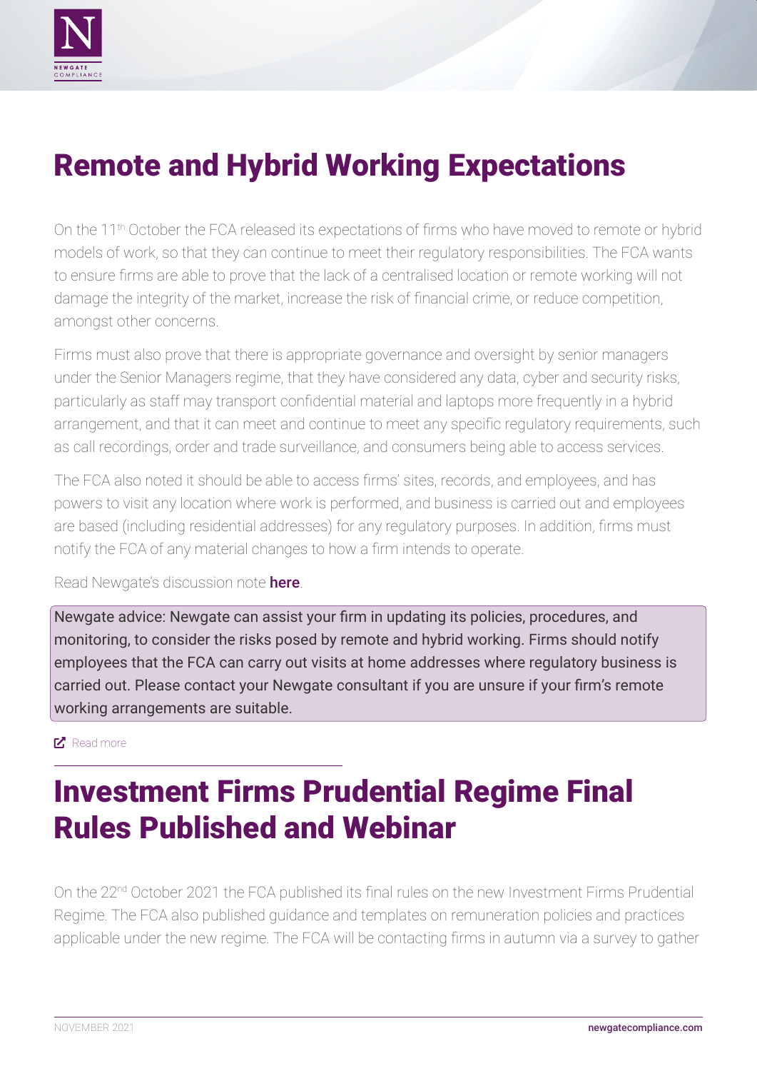<span id="page-1-0"></span>

## Remote and Hybrid Working Expectations

On the 11<sup>th</sup> October the FCA released its expectations of firms who have moved to remote or hybrid models of work, so that they can continue to meet their regulatory responsibilities. The FCA wants to ensure firms are able to prove that the lack of a centralised location or remote working will not damage the integrity of the market, increase the risk of financial crime, or reduce competition, amongst other concerns.

Firms must also prove that there is appropriate governance and oversight by senior managers under the Senior Managers regime, that they have considered any data, cyber and security risks, particularly as staff may transport confidential material and laptops more frequently in a hybrid arrangement, and that it can meet and continue to meet any specific regulatory requirements, such as call recordings, order and trade surveillance, and consumers being able to access services.

The FCA also noted it should be able to access firms' sites, records, and employees, and has powers to visit any location where work is performed, and business is carried out and employees are based (including residential addresses) for any regulatory purposes. In addition, firms must notify the FCA of any material changes to how a firm intends to operate.

Read Newgate's discussion note [here](http://newgatecompliance.com/downloader/NTdlMzEyNzViOTUwMjYyNWJkN2NkNTYxNDI2ZWZkNTimKaZppr5aWvVWp2s7Lv5MWmgrbEdOcDlMazdNcDB3Uko4WElLRlVNU3FTeElJZ3Q2NHo0OFdXMGRHMVdvRFRmeVBWOU5PR0Y0WFBJUWZ3ZQ).

Newgate advice: Newgate can assist your firm in updating its policies, procedures, and monitoring, to consider the risks posed by remote and hybrid working. Firms should notify employees that the FCA can carry out visits at home addresses where regulatory business is carried out. Please contact your Newgate consultant if you are unsure if your firm's remote working arrangements are suitable.

#### ■ [Read more](https://www.fca.org.uk/firms/remote-hybrid-working-expectations)

## Investment Firms Prudential Regime Final Rules Published and Webinar

On the 22<sup>nd</sup> October 2021 the FCA published its final rules on the new Investment Firms Prudential Regime. The FCA also published guidance and templates on remuneration policies and practices applicable under the new regime. The FCA will be contacting firms in autumn via a survey to gather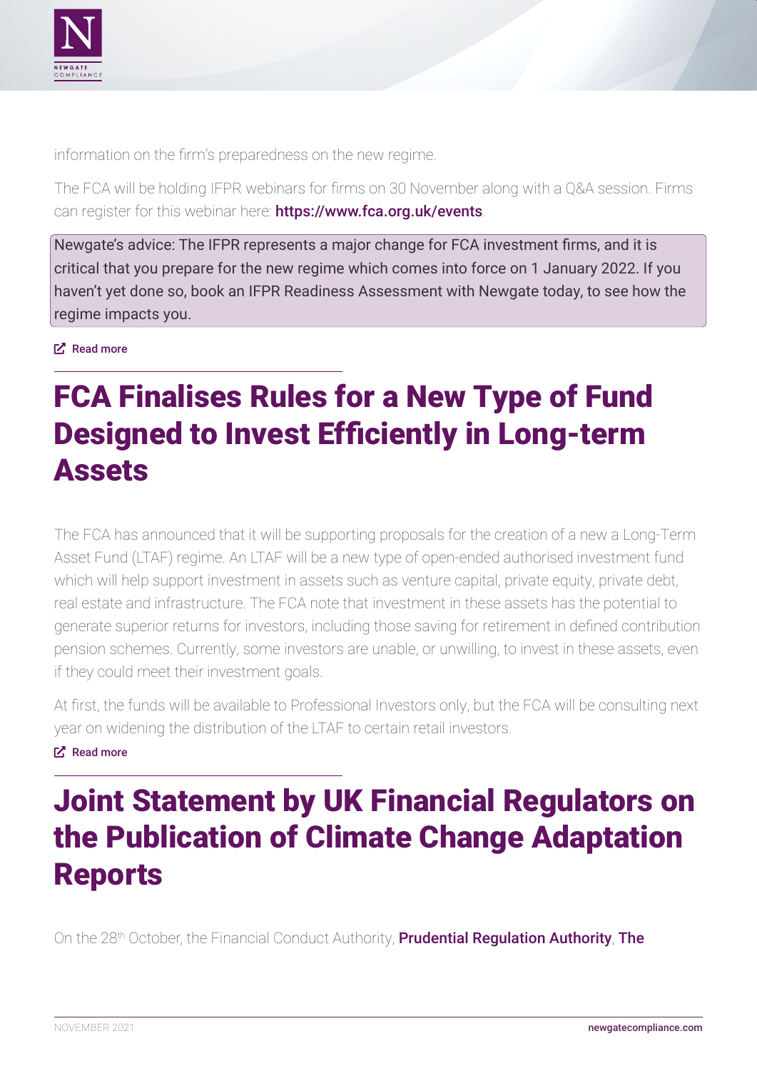<span id="page-2-0"></span>

information on the firm's preparedness on the new regime.

The FCA will be holding IFPR webinars for firms on 30 November along with a Q&A session. Firms can register for this webinar here: <https://www.fca.org.uk/events>.

Newgate's advice: The IFPR represents a major change for FCA investment firms, and it is critical that you prepare for the new regime which comes into force on 1 January 2022. If you haven't yet done so, book an IFPR Readiness Assessment with Newgate today, to see how the regime impacts you.

**E**<sup>z</sup> [Read more](https://www.fca.org.uk/news/news-stories/investment-firms-prudential-regime-final-rules-published)

## FCA Finalises Rules for a New Type of Fund Designed to Invest Efficiently in Long-term Assets

The FCA has announced that it will be supporting proposals for the creation of a new a Long-Term Asset Fund (LTAF) regime. An LTAF will be a new type of open-ended authorised investment fund which will help support investment in assets such as venture capital, private equity, private debt, real estate and infrastructure. The FCA note that investment in these assets has the potential to generate superior returns for investors, including those saving for retirement in defined contribution pension schemes. Currently, some investors are unable, or unwilling, to invest in these assets, even if they could meet their investment goals.

At first, the funds will be available to Professional Investors only, but the FCA will be consulting next year on widening the distribution of the LTAF to certain retail investors.

#### ȧ [Read more](https://www.fca.org.uk/news/press-releases/fca-finalises-rules-new-type-fund-designed-invest-efficiently-long-term-assets)

## Joint Statement by UK Financial Regulators on the Publication of Climate Change Adaptation Reports

On the 28<sup>th</sup> October, the Financial Conduct Authority, **[Prudential Regulation Authority](https://www.bankofengland.co.uk/prudential-regulation)**, **The**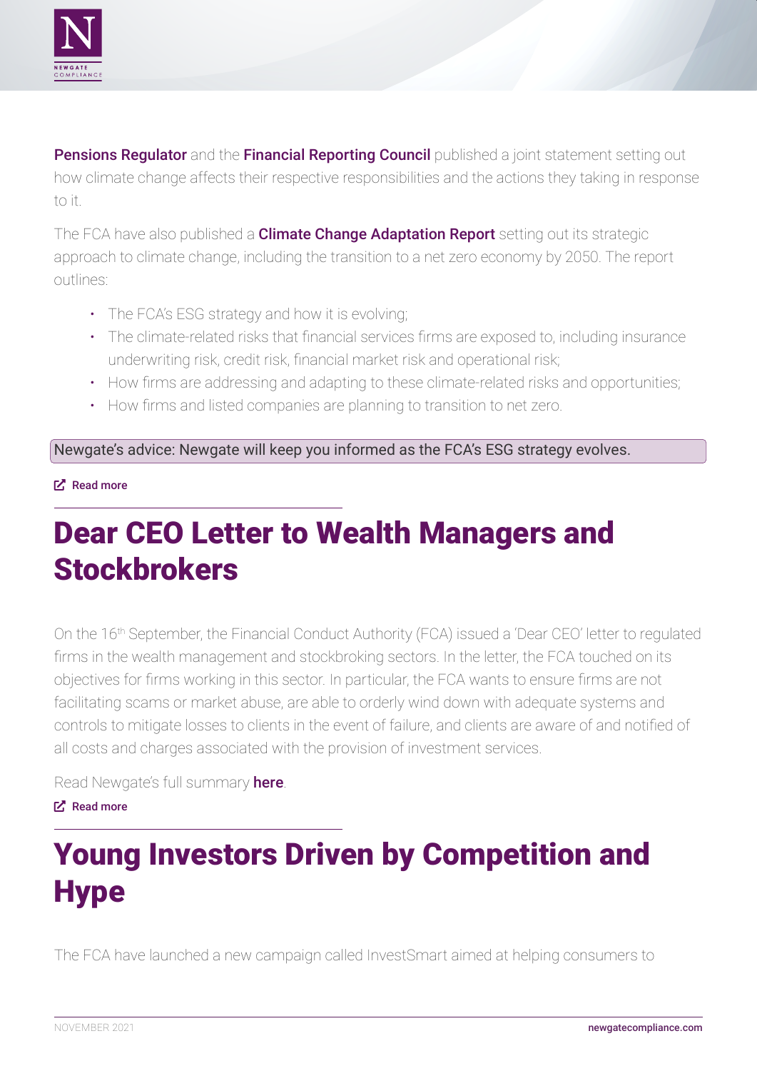<span id="page-3-0"></span>

[Pensions Regulator](https://www.thepensionsregulator.gov.uk/) and the [Financial Reporting Council](https://www.frc.org.uk/) published a joint statement setting out how climate change affects their respective responsibilities and the actions they taking in response to it.

The FCA have also published a **[Climate Change Adaptation Report](https://www.fca.org.uk/publication/corporate/fca-climate-change-adaptation-report.pdf)** setting out its strategic approach to climate change, including the transition to a net zero economy by 2050. The report outlines:

- The FCA's ESG strategy and how it is evolving;
- The climate-related risks that financial services firms are exposed to, including insurance underwriting risk, credit risk, financial market risk and operational risk;
- How firms are addressing and adapting to these climate-related risks and opportunities;
- How firms and listed companies are planning to transition to net zero.

Newgate's advice: Newgate will keep you informed as the FCA's ESG strategy evolves.

#### **LX**: [Read more](https://www.fca.org.uk/news/statements/joint-statement-fca-pra-tpr-frc-climate-change-adaptation-reports)

## Dear CEO Letter to Wealth Managers and **Stockbrokers**

On the 16th September, the Financial Conduct Authority (FCA) issued a 'Dear CEO' letter to regulated firms in the wealth management and stockbroking sectors. In the letter, the FCA touched on its objectives for firms working in this sector. In particular, the FCA wants to ensure firms are not facilitating scams or market abuse, are able to orderly wind down with adequate systems and controls to mitigate losses to clients in the event of failure, and clients are aware of and notified of all costs and charges associated with the provision of investment services.

Read Newgate's full summary [here](http://newgatecompliance.com/downloader/YjI0NDI5MjIxYTRiMjAyMmMxOGY4NzU0ZDIxODBlOTM6Fz-nv9DS-CU0jSfKy4rQcitzZW1sRHFKL29aR2pKZk1LQ0ROVytGRmN1RENDZ09mZmpRRDI1V1BtcVppZjFPcmtIbFhXRnFLcWVvMVhjYQ).

#### ȧ [Read more](https://www.fca.org.uk/publication/correspondence/portfolio-letter-wealth-management.pdf)

# Young Investors Driven by Competition and **Hype**

The FCA have launched a new campaign called InvestSmart aimed at helping consumers to